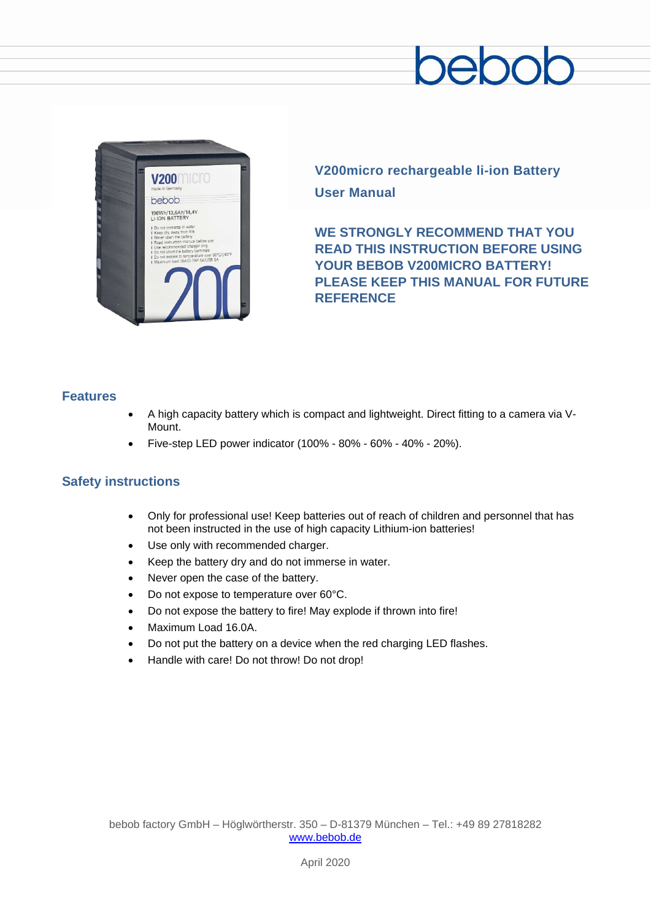

**V200micro rechargeable li-ion Battery User Manual**

**WE STRONGLY RECOMMEND THAT YOU READ THIS INSTRUCTION BEFORE USING YOUR BEBOB V200MICRO BATTERY! PLEASE KEEP THIS MANUAL FOR FUTURE REFERENCE**

# **Features**

- A high capacity battery which is compact and lightweight. Direct fitting to a camera via V-Mount.
- Five-step LED power indicator (100% 80% 60% 40% 20%).

# **Safety instructions**

- Only for professional use! Keep batteries out of reach of children and personnel that has not been instructed in the use of high capacity Lithium-ion batteries!
- Use only with recommended charger.
- Keep the battery dry and do not immerse in water.
- Never open the case of the battery.
- Do not expose to temperature over 60°C.
- Do not expose the battery to fire! May explode if thrown into fire!
- Maximum Load 16.0A.
- Do not put the battery on a device when the red charging LED flashes.
- Handle with care! Do not throw! Do not drop!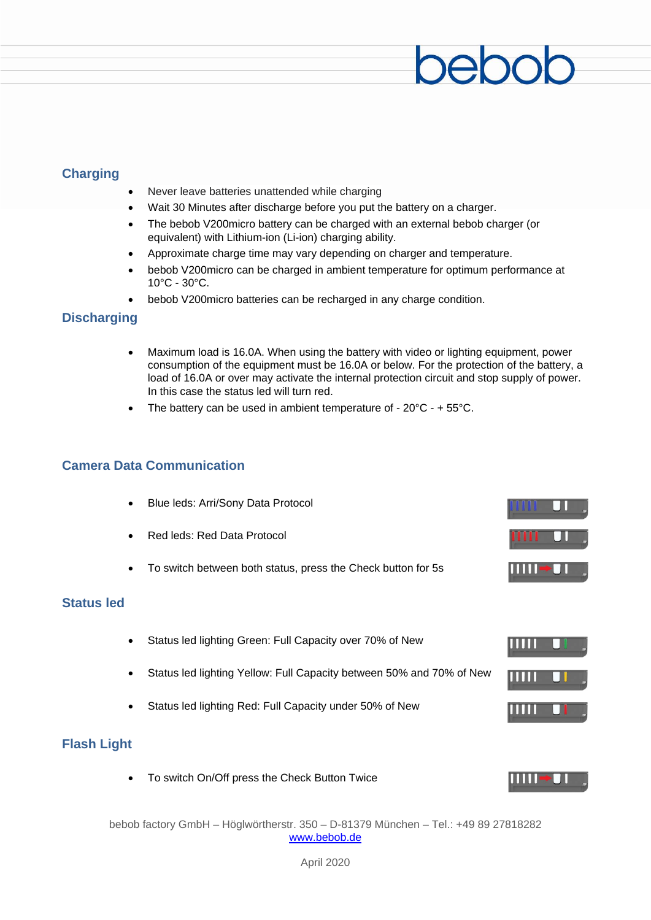# **Charging**

- Never leave batteries unattended while charging
- Wait 30 Minutes after discharge before you put the battery on a charger.
- The bebob V200micro battery can be charged with an external bebob charger (or equivalent) with Lithium-ion (Li-ion) charging ability.
- Approximate charge time may vary depending on charger and temperature.
- bebob V200micro can be charged in ambient temperature for optimum performance at 10°C - 30°C.
- bebob V200micro batteries can be recharged in any charge condition.

# **Discharging**

- Maximum load is 16.0A. When using the battery with video or lighting equipment, power consumption of the equipment must be 16.0A or below. For the protection of the battery, a load of 16.0A or over may activate the internal protection circuit and stop supply of power. In this case the status led will turn red.
- The battery can be used in ambient temperature of  $20^{\circ}$ C +  $55^{\circ}$ C.

# **Camera Data Communication**

- Blue leds: Arri/Sony Data Protocol
- Red leds: Red Data Protocol
- To switch between both status, press the Check button for 5s

## **Status led**

- Status led lighting Green: Full Capacity over 70% of New
- Status led lighting Yellow: Full Capacity between 50% and 70% of New
- Status led lighting Red: Full Capacity under 50% of New

# **Flash Light**

• To switch On/Off press the Check Button Twice

 $\mathbf{H}$  ,  $\mathbf{H}$ 

MIT

11 H H

bebob factory GmbH – Höglwörtherstr. 350 – D-81379 München – Tel.: +49 89 27818282 [www.bebob.de](http://www.bebob.de/)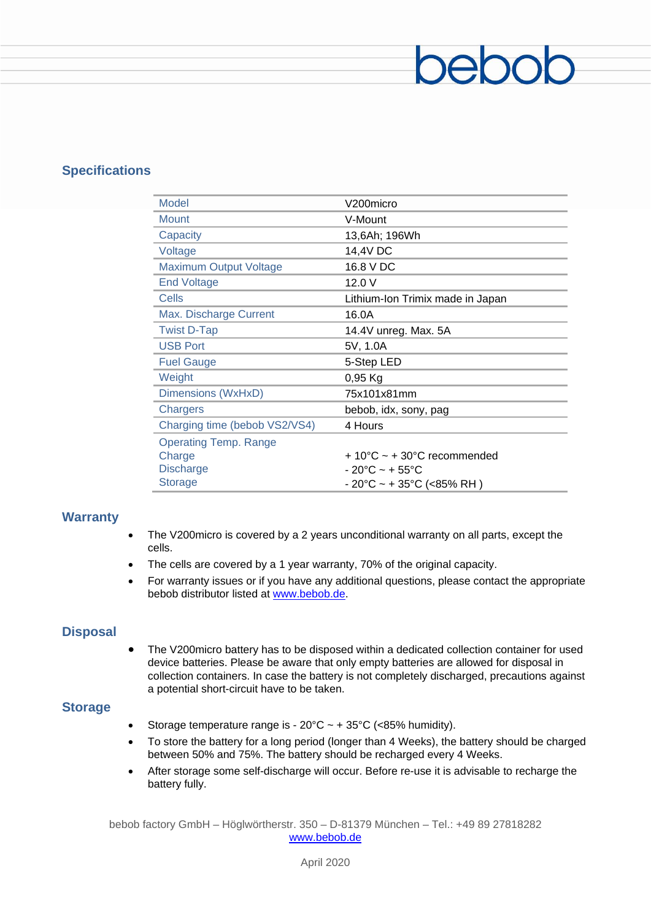# **Specifications**

| Model                         | V200micro                                       |  |  |
|-------------------------------|-------------------------------------------------|--|--|
| <b>Mount</b>                  | V-Mount                                         |  |  |
| Capacity                      | 13,6Ah; 196Wh                                   |  |  |
| Voltage                       | 14,4V DC                                        |  |  |
| <b>Maximum Output Voltage</b> | 16.8 V DC                                       |  |  |
| <b>End Voltage</b>            | 12.0V                                           |  |  |
| Cells                         | Lithium-Ion Trimix made in Japan                |  |  |
| Max. Discharge Current        | 16.0A                                           |  |  |
| <b>Twist D-Tap</b>            | 14.4V unreg. Max. 5A                            |  |  |
| <b>USB Port</b>               | 5V, 1.0A                                        |  |  |
| <b>Fuel Gauge</b>             | 5-Step LED                                      |  |  |
| Weight                        | $0,95$ Kg                                       |  |  |
| Dimensions (WxHxD)            | 75x101x81mm                                     |  |  |
| Chargers                      | bebob, idx, sony, pag                           |  |  |
| Charging time (bebob VS2/VS4) | 4 Hours                                         |  |  |
| <b>Operating Temp. Range</b>  |                                                 |  |  |
| Charge                        | $+10^{\circ}$ C ~ + 30 $^{\circ}$ C recommended |  |  |
| <b>Discharge</b>              | $-20^{\circ}$ C ~ + 55 $^{\circ}$ C             |  |  |
| <b>Storage</b>                | - 20°C ~ + 35°C (<85% RH )                      |  |  |

 $200$ 

# **Warranty**

- The V200micro is covered by a 2 years unconditional warranty on all parts, except the cells.
- The cells are covered by a 1 year warranty, 70% of the original capacity.
- For warranty issues or if you have any additional questions, please contact the appropriate bebob distributor listed at [www.bebob.de.](http://www.bebob.de/)

# **Disposal**

• The V200micro battery has to be disposed within a dedicated collection container for used device batteries. Please be aware that only empty batteries are allowed for disposal in collection containers. In case the battery is not completely discharged, precautions against a potential short-circuit have to be taken.

### **Storage**

- Storage temperature range is  $20^{\circ}C \sim +35^{\circ}C$  (<85% humidity).
- To store the battery for a long period (longer than 4 Weeks), the battery should be charged between 50% and 75%. The battery should be recharged every 4 Weeks.
- After storage some self-discharge will occur. Before re-use it is advisable to recharge the battery fully.

bebob factory GmbH – Höglwörtherstr. 350 – D-81379 München – Tel.: +49 89 27818282 [www.bebob.de](http://www.bebob.de/)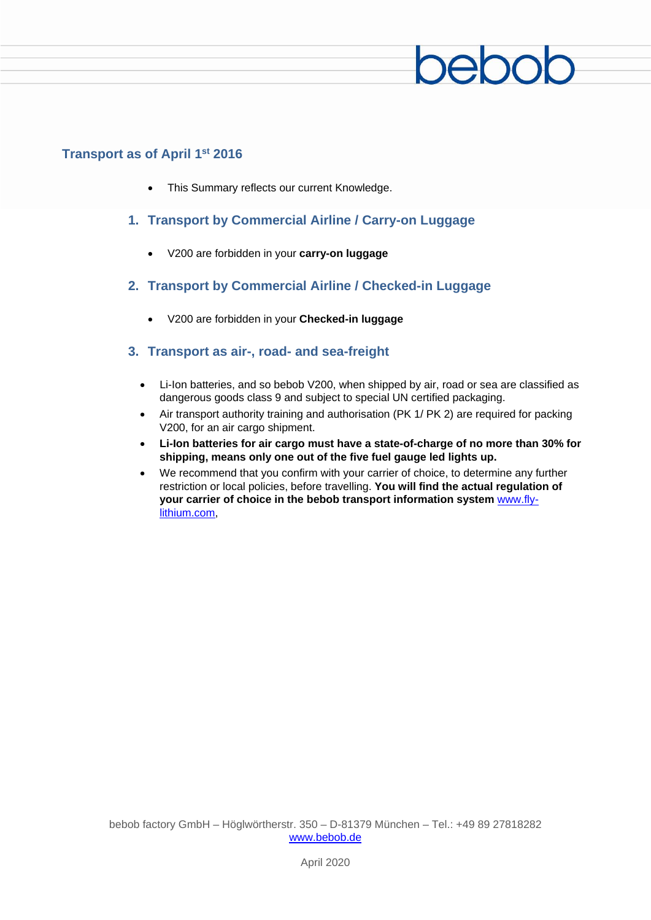

# **Transport as of April 1st 2016**

- This Summary reflects our current Knowledge.
- **1. Transport by Commercial Airline / Carry-on Luggage**
	- V200 are forbidden in your **carry-on luggage**
- **2. Transport by Commercial Airline / Checked-in Luggage**
	- V200 are forbidden in your **Checked-in luggage**

# **3. Transport as air-, road- and sea-freight**

- Li-Ion batteries, and so bebob V200, when shipped by air, road or sea are classified as dangerous goods class 9 and subject to special UN certified packaging.
- Air transport authority training and authorisation (PK 1/ PK 2) are required for packing V200, for an air cargo shipment.
- **Li-Ion batteries for air cargo must have a state-of-charge of no more than 30% for shipping, means only one out of the five fuel gauge led lights up.**
- We recommend that you confirm with your carrier of choice, to determine any further restriction or local policies, before travelling. **You will find the actual regulation of your carrier of choice in the bebob transport information system** www.flylithium.com,